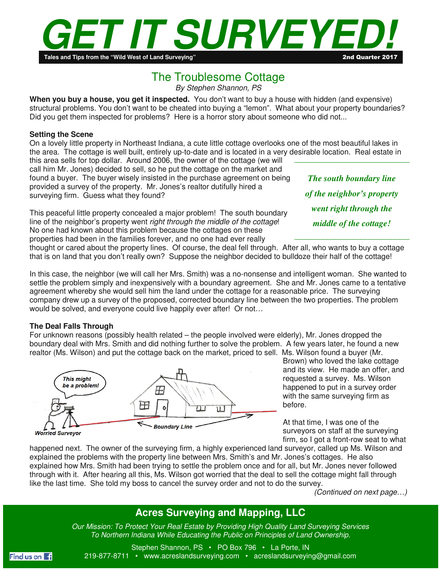

# The Troublesome Cottage

*By Stephen Shannon, PS* 

**When you buy a house, you get it inspected.** You don't want to buy a house with hidden (and expensive) structural problems. You don't want to be cheated into buying a "lemon". What about your property boundaries? Did you get them inspected for problems? Here is a horror story about someone who did not...

### **Setting the Scene**

On a lovely little property in Northeast Indiana, a cute little cottage overlooks one of the most beautiful lakes in the area. The cottage is well built, entirely up-to-date and is located in a very desirable location. Real estate in

this area sells for top dollar. Around 2006, the owner of the cottage (we will call him Mr. Jones) decided to sell, so he put the cottage on the market and found a buyer. The buyer wisely insisted in the purchase agreement on being provided a survey of the property. Mr. Jones's realtor dutifully hired a surveying firm. Guess what they found?

This peaceful little property concealed a major problem! The south boundary line of the neighbor's property went *right through the middle of the cottage*! No one had known about this problem because the cottages on these properties had been in the families forever, and no one had ever really

*The south boundary line of the neighbor's property went right through the middle of the cottage!* 

thought or cared about the property lines. Of course, the deal fell through. After all, who wants to buy a cottage that is on land that you don't really own? Suppose the neighbor decided to bulldoze their half of the cottage!

In this case, the neighbor (we will call her Mrs. Smith) was a no-nonsense and intelligent woman. She wanted to settle the problem simply and inexpensively with a boundary agreement. She and Mr. Jones came to a tentative agreement whereby she would sell him the land under the cottage for a reasonable price. The surveying company drew up a survey of the proposed, corrected boundary line between the two properties. The problem would be solved, and everyone could live happily ever after! Or not…

## **The Deal Falls Through**

For unknown reasons (possibly health related – the people involved were elderly), Mr. Jones dropped the boundary deal with Mrs. Smith and did nothing further to solve the problem. A few years later, he found a new realtor (Ms. Wilson) and put the cottage back on the market, priced to sell. Ms. Wilson found a buyer (Mr.



Brown) who loved the lake cottage and its view. He made an offer, and requested a survey. Ms. Wilson happened to put in a survey order with the same surveying firm as before.

At that time, I was one of the surveyors on staff at the surveying firm, so I got a front-row seat to what

happened next. The owner of the surveying firm, a highly experienced land surveyor, called up Ms. Wilson and explained the problems with the property line between Mrs. Smith's and Mr. Jones's cottages. He also explained how Mrs. Smith had been trying to settle the problem once and for all, but Mr. Jones never followed through with it. After hearing all this, Ms. Wilson got worried that the deal to sell the cottage might fall through like the last time. She told my boss to cancel the survey order and not to do the survey.

*(Continued on next page…)* 

# **Acres Surveying and Mapping, LLC**

 *To Northern Indiana While Educating the Public on Principles of Land Ownership. Our Mission: To Protect Your Real Estate by Providing High Quality Land Surveying Services* 



Stephen Shannon, PS • PO Box 796 • La Porte, IN 219-877-8711 • www.acreslandsurveying.com • acreslandsurveying@gmail.com